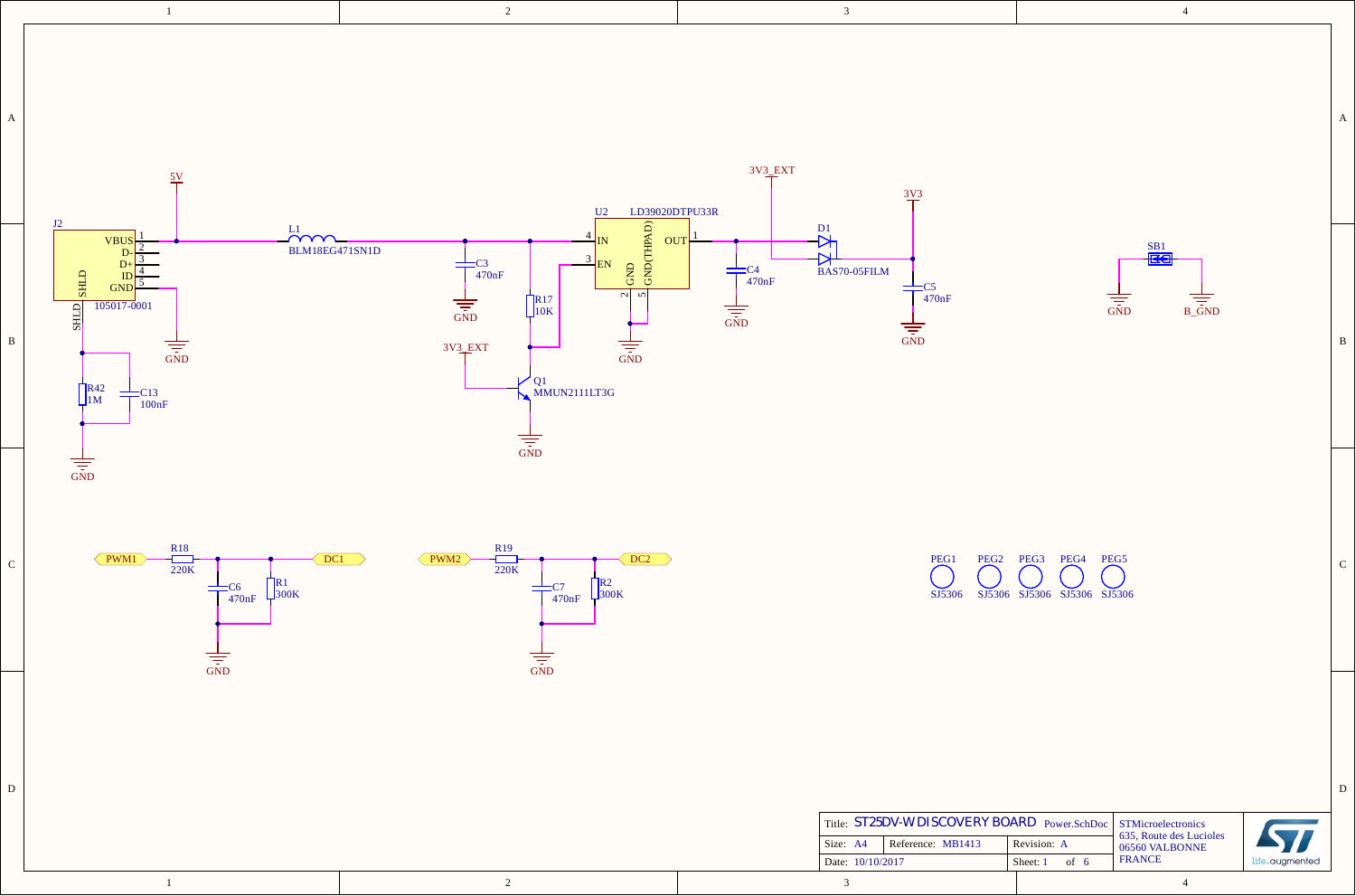| А | 3V3_EXT<br>5V<br>LD39020DTPU33R<br>U2                                                                                                                                                                                                                                                                                                                                                                                                                                                        | $3\underline{V}3$                                                                                                                                                                                                                                                                            | A           |
|---|----------------------------------------------------------------------------------------------------------------------------------------------------------------------------------------------------------------------------------------------------------------------------------------------------------------------------------------------------------------------------------------------------------------------------------------------------------------------------------------------|----------------------------------------------------------------------------------------------------------------------------------------------------------------------------------------------------------------------------------------------------------------------------------------------|-------------|
| В | J2<br>$GND$ $(THBAD)$<br>L1<br>OUT<br>VBU:<br>BLM18EG471SN1D<br>$\frac{1}{470nF}$<br>GND<br>EN<br>$\frac{1}{1}C4}{470nF}$<br><b>SHLD</b><br><b>GND</b><br>$\sim$ $\sim$<br>$\sqrt{\frac{R17}{10K}}$<br>$\frac{1}{\frac{1}{\sin D}}$<br>$105017 - 0001$<br><b>SHLD</b><br>$\frac{1}{\sin D}$<br>$3V3$ <sub>EXT</sub><br>$\frac{1}{\sin b}$<br>$\frac{1}{\sqrt{1-\frac{1}{n}}}\$<br>Q1<br>R42<br>MMUN2111LT3G<br>$\frac{\text{C13}}{\text{100nF}}$<br>$\mathbf{L}$ 1M<br>$\frac{1}{\sqrt{25}}$ | D <sub>1</sub><br>$rac{\text{SB1}}{\sqrt{25}}$<br>BAS70-05FILM<br>$\frac{1}{1}$ C5<br>470nF<br>$\sqrt{\frac{1}{10}}$<br>$\overline{\overline{5}}$<br>$\frac{1}{\sqrt{1-\frac{1}{n}}}\$                                                                                                       | B           |
| C | $\frac{1}{\sin D}$<br>$\frac{R19}{220K}$<br>$\frac{R18}{220K}$<br>$\langle$ PWM1 $\rangle$<br>DC1<br>$\sqrt{\text{PWM2}}$<br>$\overline{DC2}$<br>$R^2$ <sub>300K</sub><br>$R_3^{R1}$<br>-C6<br>╤<br>╤<br>470nF<br>470nF<br>$\sqrt{\frac{1}{\sqrt{2}}}\$<br>$\sqrt{\frac{1}{\sqrt{2}}}\$                                                                                                                                                                                                      | PEG1<br>PEG2 PEG3<br>PEG4 PEG5<br>SJ5306<br>SJ5306 SJ5306 SJ5306 SJ5306                                                                                                                                                                                                                      |             |
| D | $\overline{2}$<br>-1                                                                                                                                                                                                                                                                                                                                                                                                                                                                         | Title: ST25DV-W DISCOVERY BOARD Power.SchDoc<br>STMicroelectronics<br>57<br>635, Route des Lucioles<br>Reference: MB1413<br>Size: A4<br>Revision: A<br>$06560$ VALBONNE<br><b>FRANCE</b><br>life.augmented<br>Date: 10/10/2017<br>Sheet: 1 of 6<br>$\overline{\mathbf{3}}$<br>$\overline{4}$ | $\mathbf D$ |

3

4

2

1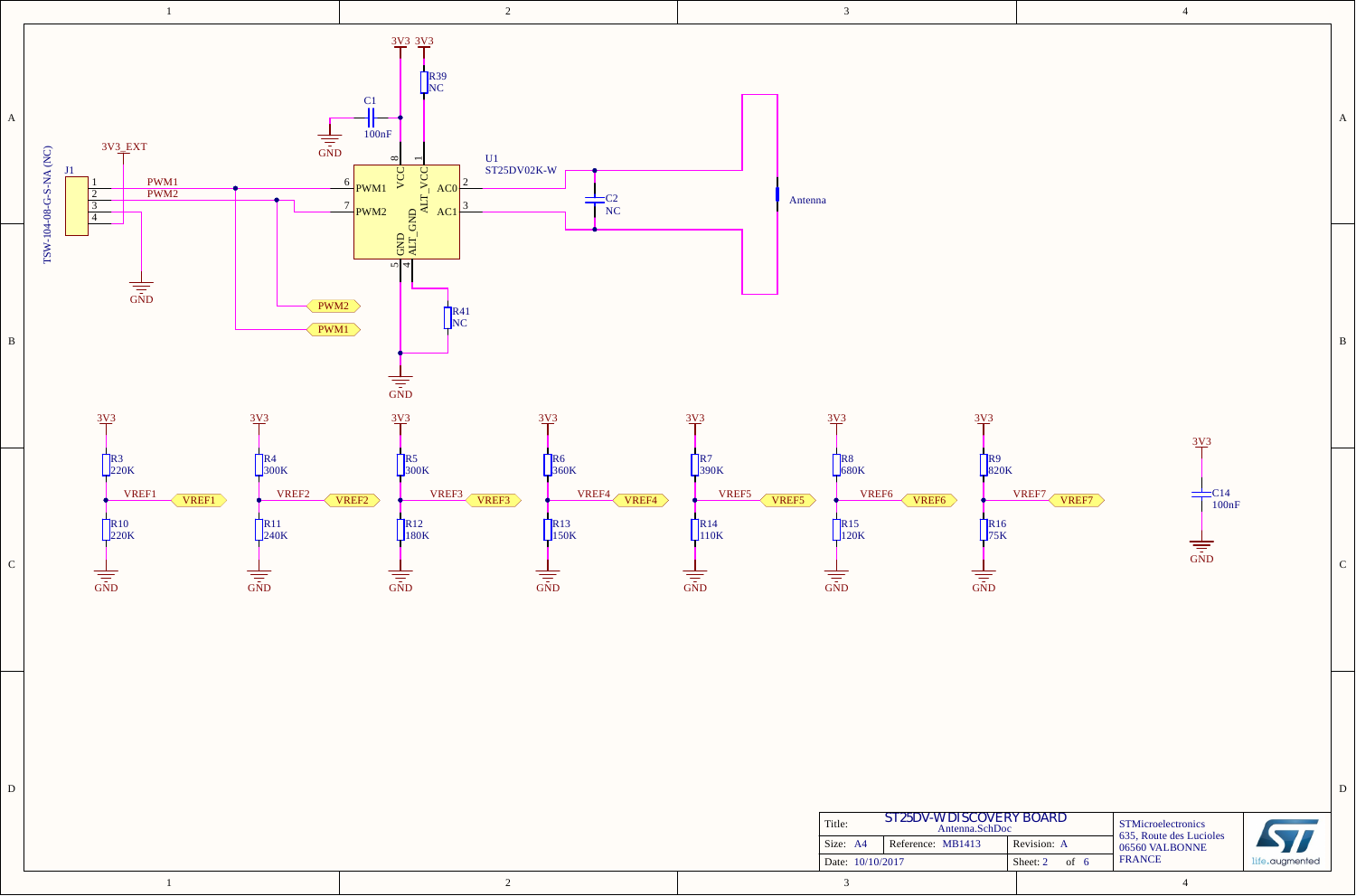

|--|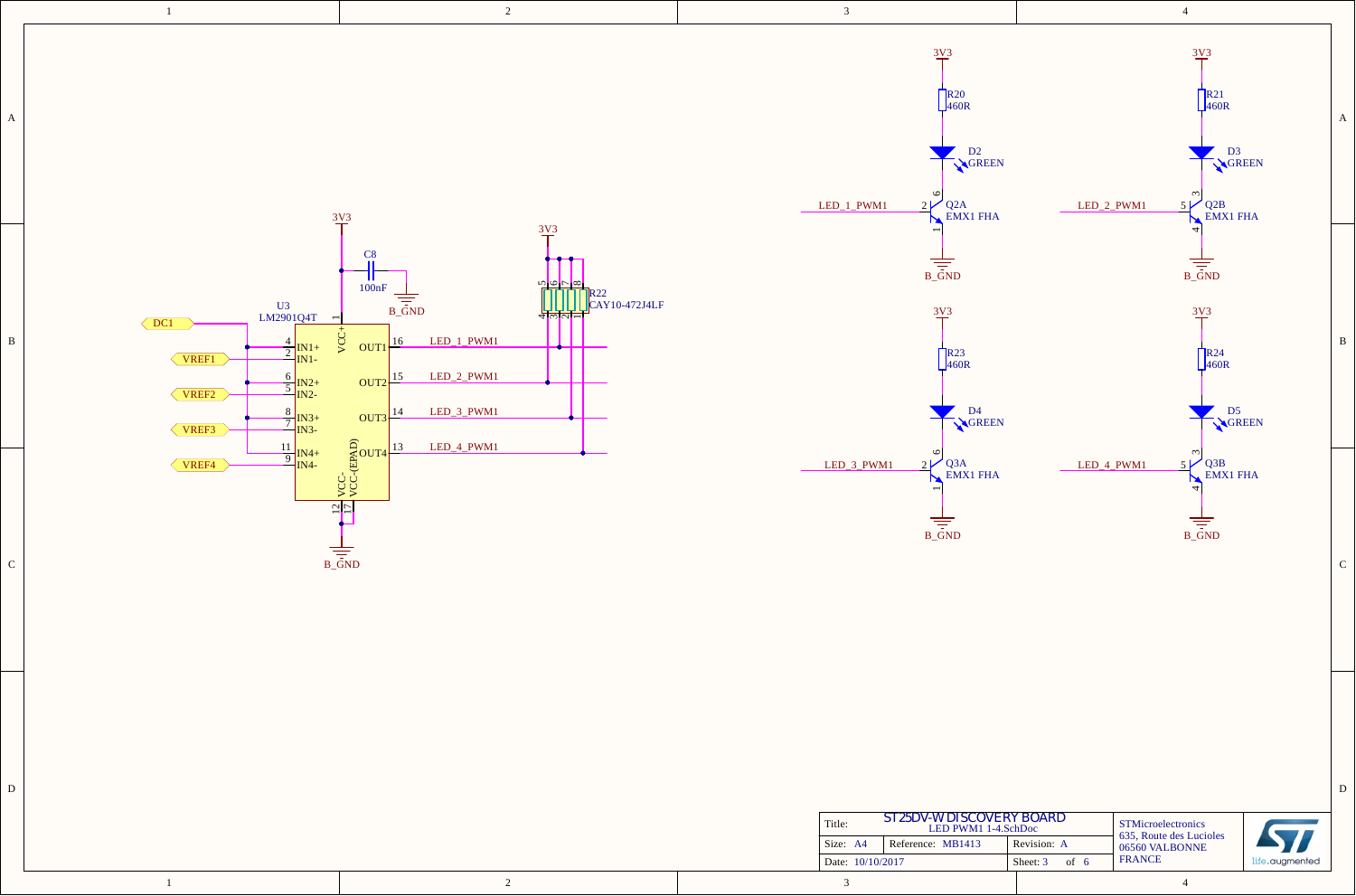|   | $\mathbf{1}$                                                                                                                                                                                                             | $\overline{2}$                                                                                                                                                                                                                                             | $\mathbf{3}$                                                                                                                                                                  | $\overline{4}$                                                                                                                                         |                  |
|---|--------------------------------------------------------------------------------------------------------------------------------------------------------------------------------------------------------------------------|------------------------------------------------------------------------------------------------------------------------------------------------------------------------------------------------------------------------------------------------------------|-------------------------------------------------------------------------------------------------------------------------------------------------------------------------------|--------------------------------------------------------------------------------------------------------------------------------------------------------|------------------|
| A |                                                                                                                                                                                                                          | 3V3                                                                                                                                                                                                                                                        | $\frac{3\sqrt{3}}{1}$<br>$R_{460R}$<br>D <sub>2</sub><br>GREEN<br>2V<br>$\frac{2}{\sqrt{\frac{2A}{\text{EMX1} \text{ FHA}}}}$<br>LED_1_PWM1                                   | $\frac{3\sqrt{3}}{1}$<br>$R^{21}_{460R}$<br>D <sub>3</sub><br>GREEN<br>$\epsilon$<br>$\sqrt{\frac{Q2B}{EMX1\text{ FHA}}}$<br>LED_2_PWM1<br>5V          | $\boldsymbol{A}$ |
| B | $\begin{array}{c}\n U3 \\  L M2901Q4T\n \end{array}$<br>$\overline{a}$<br>$\sqrt{DC1}$<br>$\frac{4}{2}$ <sub>IN1+</sub><br>VREF1<br>$\frac{6}{5}$ $\frac{IN2+}{IN2-}$<br>VREF2<br>$\frac{8}{7}$ <sub>IN3+</sub><br>VREF3 | $\frac{3V3}{4}$<br>C8<br>.जन्मिन्ने<br>जन्मिन् <del>गे</del><br>100nF<br>R22<br>CAY10-472J4LF<br>$B_{\text{GND}}$<br>VCC+<br>LED_1_PWM1<br>16<br>OUT <sub>1</sub><br>LED_2_PWM1<br>$OUT2$ <sup>15</sup><br>LED_3_PWM1<br>$OUT3 \frac{14}{1}$<br>LED_4_PWM1 | $B_{\overline{GND}}$<br>3V3<br>$R^{23}_{460R}$<br>D <sub>4</sub><br>GREEN                                                                                                     | $B_{\text{GND}}$<br>$\frac{3\sqrt{3}}{2}$<br>$R^{24}_{460R}$<br>D5<br>GREEN                                                                            | B                |
| C | $\frac{11}{9}$ IN4+<br>IN4-<br>VREF4                                                                                                                                                                                     | $\frac{1}{2}$<br>$B_{\text{GND}}$                                                                                                                                                                                                                          | Q3A<br>EMX1 FHA<br>LED_3_PWM1<br>2V<br>N<br>$B_{\text{GND}}$                                                                                                                  | ო $\vert$<br><b>J</b><br>Q3B<br>EMX1 FHA<br>5V<br>LED_4_PWM1<br>$\overline{\overline{5}}$                                                              | $\mathsf{C}$     |
| D |                                                                                                                                                                                                                          | 2                                                                                                                                                                                                                                                          | $\begin{array}{c} \textit{ST25DV-WDISCOVERY BOARD}\\ \text{LED PWM1 1-4.SchDoc} \end{array}$<br>Title:<br>Reference: MB1413<br>Size: A4<br>Date: 10/10/2017<br>$\overline{3}$ | STMicroelectronics<br>635, Route des Lucioles<br>Revision: A<br>06560 VALBONNE<br><b>FRANCE</b><br>Sheet: $3$ of 6<br>life.augmented<br>$\overline{4}$ | $\mathbf D$      |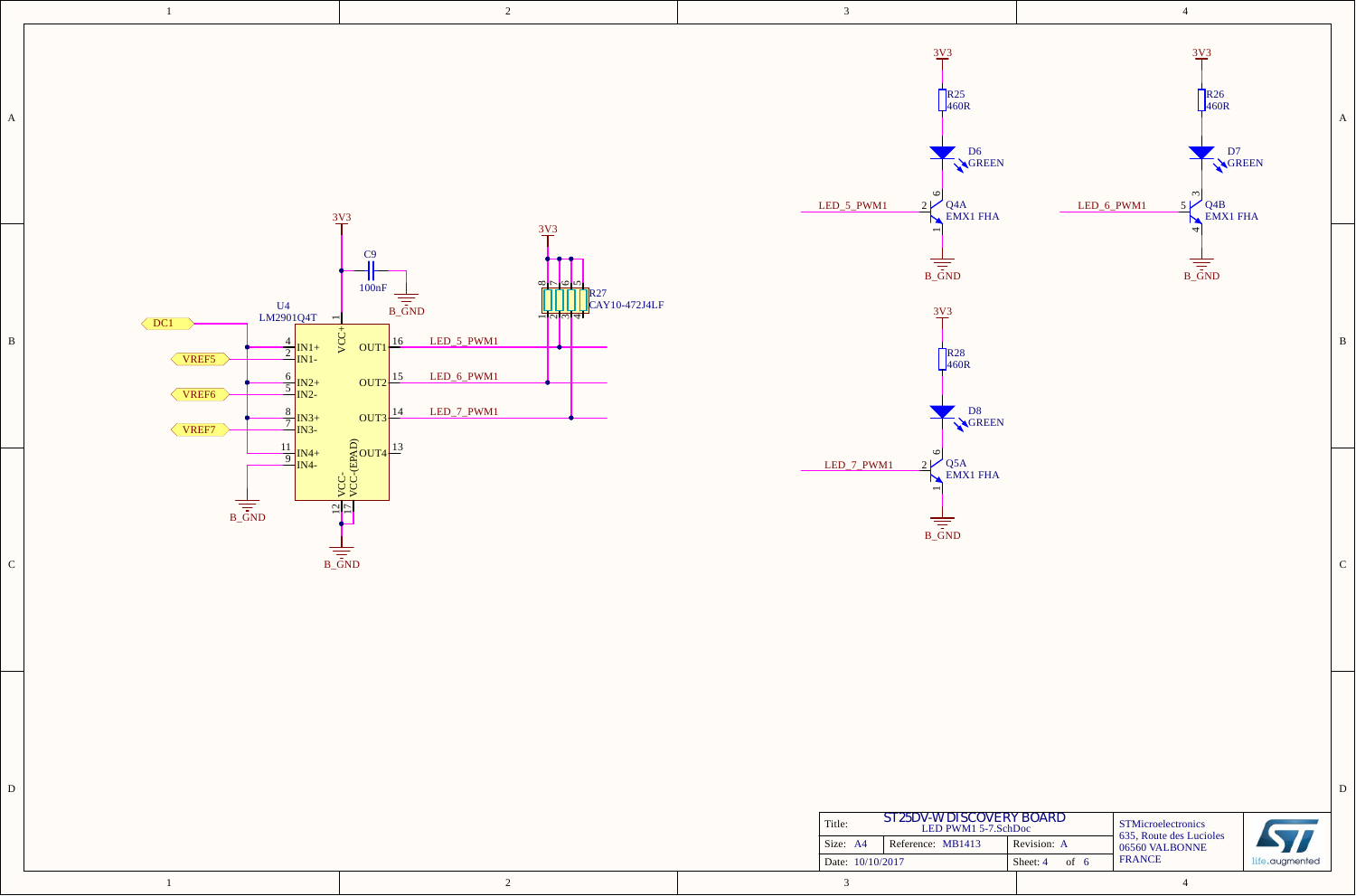|   | $\mathbf{1}$                                                                                                                                                             | $\sqrt{2}$                                                                                                                                                                                                                      | $\mathfrak{Z}$                                                                                                                            | $\overline{4}$                                                                                                                                       |                |
|---|--------------------------------------------------------------------------------------------------------------------------------------------------------------------------|---------------------------------------------------------------------------------------------------------------------------------------------------------------------------------------------------------------------------------|-------------------------------------------------------------------------------------------------------------------------------------------|------------------------------------------------------------------------------------------------------------------------------------------------------|----------------|
| A |                                                                                                                                                                          | $3\underline{V}3$                                                                                                                                                                                                               | $3\underline{V}3$<br>$R_{460R}$<br>D <sub>6</sub><br>GREEN<br>2V<br>Q <sub>4A</sub><br>EMX1 FHA<br>LED_5_PWM1<br>N                        | $\frac{3\sqrt{3}}{1}$<br>$R_{460R}$<br>D7<br>GREEN<br>$\omega$<br>Q <sub>4B</sub><br>EMX1 FHA<br>LED_6_PWM1<br>5V                                    | $\overline{A}$ |
| B | $\frac{U4}{LM2901Q4T}$<br>$\sqrt{DC1}$<br>$\frac{4}{2}$ <sub>IN1+</sub><br>VREF5<br>$\frac{6}{5}$ $\frac{IN2+}{IN2}$<br>VREF <sub>6</sub><br>$\frac{8}{7}$ IN3+<br>VREF7 | $\frac{3\sqrt{3}}{1}$<br>C9<br>하려라<br>100nF<br>R27<br>$\frac{1}{\frac{1}{5}}$<br>$CKY10-472J4LF$<br>नललच<br>VCC+<br>LED_5_PWM1<br>$OUT1\frac{16}{1}$<br>LED_6_PWM1<br>$OUT2$ <sup>15</sup><br>LED_7_PWM1<br>$OUT3 \frac{14}{1}$ | $B_{\overline{GND}}$<br>3V3<br>$R^{28}_{460R}$<br>D <sub>8</sub><br>GREEN                                                                 | 4<br>$\frac{1}{\sqrt{1-\frac{1}{2}}}$                                                                                                                | B              |
| C | $\frac{11}{9}$ IN4+<br>IN4-                                                                                                                                              | $\frac{1}{2}$<br>$B_{\text{GND}}$                                                                                                                                                                                               | $\frac{2}{\sqrt{2}}$<br>O <sub>Q5A</sub><br>EMX1 FHA<br>LED_7_PWM1<br>Ъ<br>$B_{\text{GND}}$                                               |                                                                                                                                                      |                |
| D |                                                                                                                                                                          | $\overline{2}$                                                                                                                                                                                                                  | ST25DV-W DISCOVERY BOARD<br>LED PWM1 5-7.SchDoc<br>Title:<br>Size: A4<br>Reference: MB1413<br>Date: 10/10/2017<br>$\overline{\mathbf{3}}$ | STMicroelectronics<br>635, Route des Lucioles<br>Revision: A<br>06560 VALBONNE<br><b>FRANCE</b><br>Sheet: 4 of 6<br>life.augmented<br>$\overline{4}$ | $\mathbf D$    |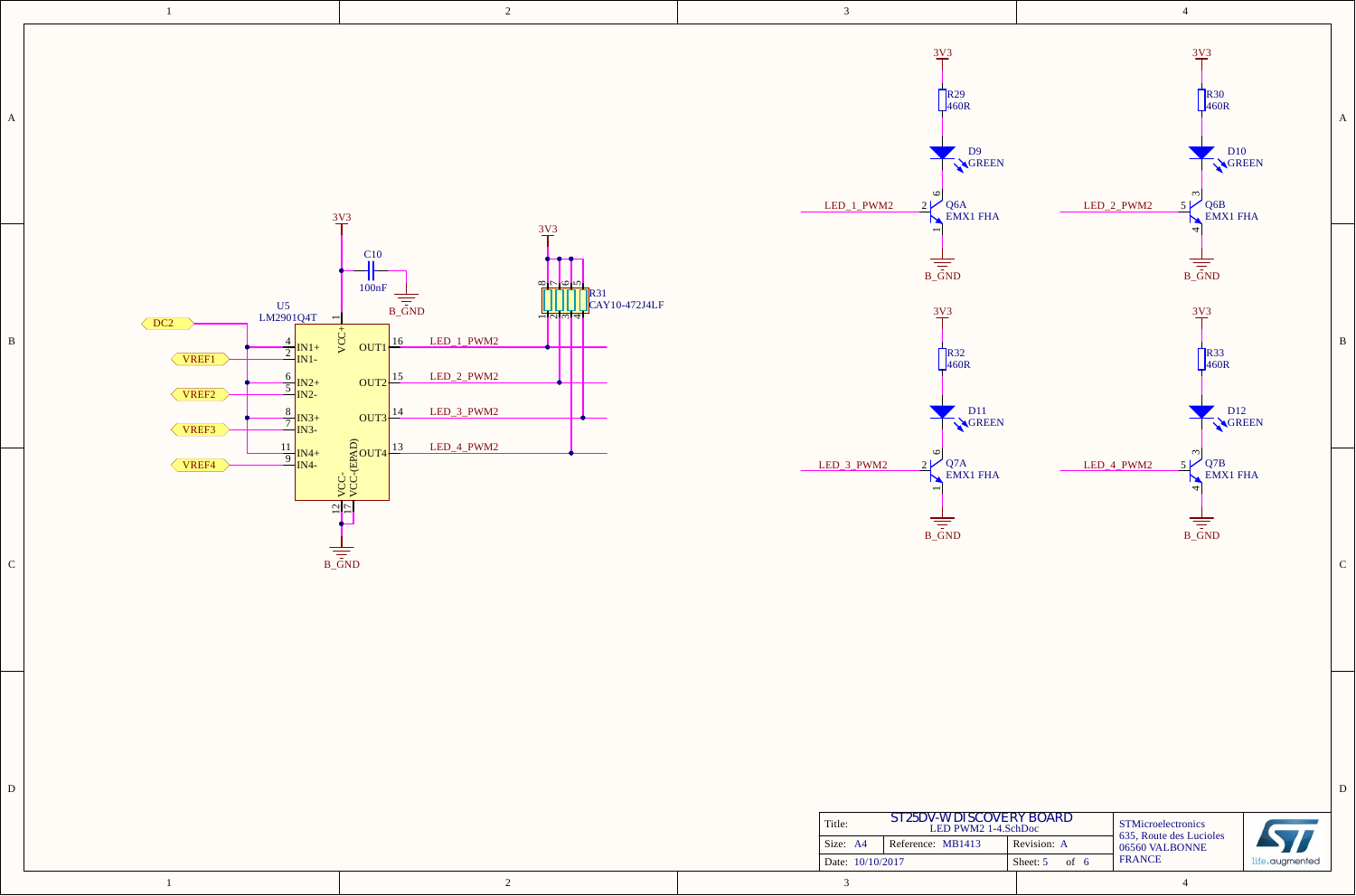|   | $\mathbf{1}$                                                                                                                                                                        | $\overline{2}$                                                                                                                                                                                                                                                              | $\mathbf{3}$                                                                                                                              | $\overline{4}$                                                                                                                            |                |
|---|-------------------------------------------------------------------------------------------------------------------------------------------------------------------------------------|-----------------------------------------------------------------------------------------------------------------------------------------------------------------------------------------------------------------------------------------------------------------------------|-------------------------------------------------------------------------------------------------------------------------------------------|-------------------------------------------------------------------------------------------------------------------------------------------|----------------|
| A |                                                                                                                                                                                     | $3\underline{V}3$                                                                                                                                                                                                                                                           | $\frac{3V3}{4}$<br>$R_{460R}$<br>D <sub>9</sub><br>GREEN<br>2V<br>LED_1_PWM2<br>$Q6A$<br>EMX1 FHA<br>N                                    | $\frac{3\text{V}^3}{\text{T}}$<br>$R_{460R}^{830}$<br>D <sub>10</sub><br>GREEN<br>$Q6B$ EMX1 FHA<br>5V<br>LED_2_PWM2<br>M                 | $\overline{A}$ |
| B | $\frac{U5}{LM2901Q4T}$ -<br>$\sqrt{DC2}$<br>$\frac{4}{2}$ <sub>IN1+</sub><br>$\sqrt{VREF1}$<br>$\frac{6}{5}$ $\frac{IN2+}{IN2-}$<br>VREF2<br>$\frac{8}{7}$ <sub>IN3+</sub><br>VREF3 | $\frac{3\text{V}}{1}$<br>$\frac{C10}{11}$<br>$\frac{1}{100nF}$<br>% cool x<br>TITE X <sup>31</sup><br>CAY10-472J4LF<br>$B_{\text{GND}}$<br>VCC+<br>LED_1_PWM2<br>16<br>OUT <sub>1</sub><br>LED_2_PWM2<br>$OUT2$ <sup>15</sup><br>LED_3_PWM2<br><b>OUT3</b> 14<br>LED_4_PWM2 | $B_{\text{GND}}$<br>3V3<br>$R^{32}_{460R}$<br>D <sub>11</sub><br>GREEN                                                                    | $B_{\text{GND}}$<br>$\frac{3\sqrt{3}}{4}$<br>$R^{33}_{460R}$<br>D <sub>12</sub><br>GREEN                                                  | B              |
| C | $\frac{11}{9}$ IN4+<br>IN4-<br>VREF4                                                                                                                                                | $\begin{array}{c}\n\widehat{C} \\ \widehat{C} \\ \widehat{C} \\ \widehat{C} \\ \widehat{D} \\ \widehat{D}\n\end{array}$<br>$\frac{1}{2}$<br>$B_{\text{GND}}$                                                                                                                | $\circ$<br>2V<br>Q7A<br>EMX1 FHA<br>LED_3_PWM2<br>N<br>$B_{\overline{G}}$ ND                                                              | $\frac{5}{\sqrt{\frac{1}{2}}}\sqrt{\frac{1}{2}}$ C <sub>B</sub><br>EMX1 FHA<br>LED_4_PWM2<br>$B_{\text{GND}}$                             | $\mathcal{C}$  |
| D |                                                                                                                                                                                     | 2                                                                                                                                                                                                                                                                           | ST25DV-W DISCOVERY BOARD<br>LED PWM2 1-4.SchDoc<br>Title:<br>Reference: MB1413<br>Size: A4<br>Date: 10/10/2017<br>$\overline{\mathbf{3}}$ | STMicroelectronics<br>635, Route des Lucioles<br>Revision: A<br>06560 VALBONNE<br><b>FRANCE</b><br>Sheet: $5$ of 6<br>life.augmented<br>4 | $\mathbf D$    |